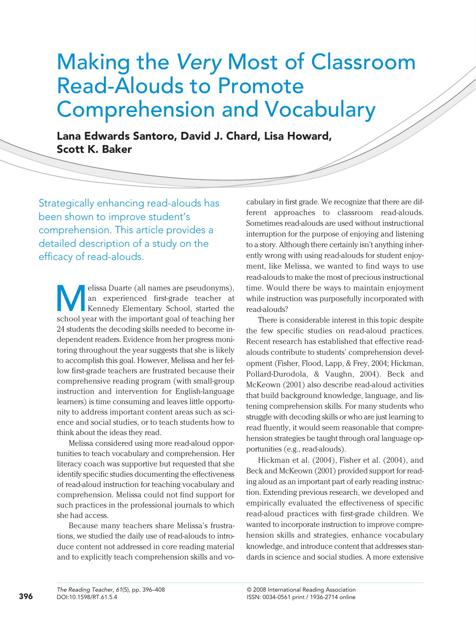# Making the Very Most of Classroom Read-Alouds to Promote Comprehension and Vocabulary

Lana Edwards Santoro, David J. Chard, Lisa Howard, Scott K. Baker

Strategically enhancing read-alouds has been shown to improve student's comprehension. This article provides a detailed description of a study on the efficacy of read-alouds.

Melissa Duarte (all names are pseudonyms),<br>an experienced first-grade teacher at<br>Kennedy Elementary School, started the<br>school year with the important goal of teaching her an experienced first-grade teacher at Kennedy Elementary School, started the school year with the important goal of teaching her 24 students the decoding skills needed to become independent readers. Evidence from her progress monitoring throughout the year suggests that she is likely to accomplish this goal. However, Melissa and her fellow first-grade teachers are frustrated because their comprehensive reading program (with small-group instruction and intervention for English-language learners) is time consuming and leaves little opportunity to address important content areas such as science and social studies, or to teach students how to think about the ideas they read.

Melissa considered using more read-aloud opportunities to teach vocabulary and comprehension. Her literacy coach was supportive but requested that she identify specific studies documenting the effectiveness of read-aloud instruction for teaching vocabulary and comprehension. Melissa could not find support for such practices in the professional journals to which she had access.

Because many teachers share Melissa's frustrations, we studied the daily use of read-alouds to introduce content not addressed in core reading material and to explicitly teach comprehension skills and vocabulary in first grade. We recognize that there are different approaches to classroom read-alouds. Sometimes read-alouds are used without instructional interruption for the purpose of enjoying and listening to a story. Although there certainly isn't anything inherently wrong with using read-alouds for student enjoyment, like Melissa, we wanted to find ways to use read-alouds to make the most of precious instructional time. Would there be ways to maintain enjoyment while instruction was purposefully incorporated with read-alouds?

There is considerable interest in this topic despite the few specific studies on read-aloud practices. Recent research has established that effective readalouds contribute to students' comprehension development (Fisher, Flood, Lapp, & Frey, 2004; Hickman, Pollard-Durodola, & Vaughn, 2004). Beck and McKeown (2001) also describe read-aloud activities that build background knowledge, language, and listening comprehension skills. For many students who struggle with decoding skills or who are just learning to read fluently, it would seem reasonable that comprehension strategies be taught through oral language opportunities (e.g., read-alouds).

Hickman et al. (2004), Fisher et al. (2004), and Beck and McKeown (2001) provided support for reading aloud as an important part of early reading instruction. Extending previous research, we developed and empirically evaluated the effectiveness of specific read-aloud practices with first-grade children. We wanted to incorporate instruction to improve comprehension skills and strategies, enhance vocabulary knowledge, and introduce content that addresses standards in science and social studies. A more extensive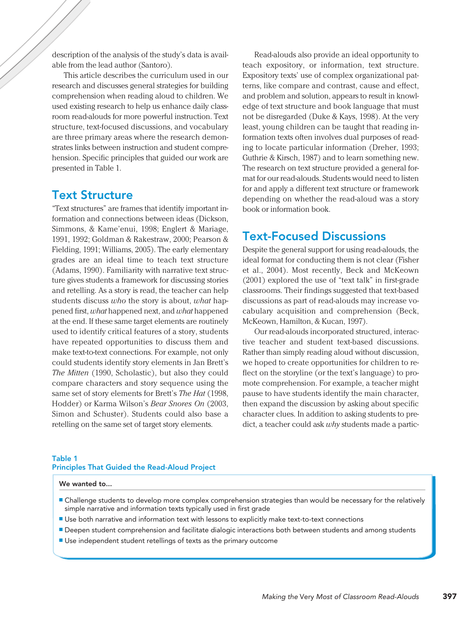description of the analysis of the study's data is available from the lead author (Santoro).

This article describes the curriculum used in our research and discusses general strategies for building comprehension when reading aloud to children. We used existing research to help us enhance daily classroom read-alouds for more powerful instruction. Text structure, text-focused discussions, and vocabulary are three primary areas where the research demonstrates links between instruction and student comprehension. Specific principles that guided our work are presented in Table 1.

### Text Structure

"Text structures" are frames that identify important information and connections between ideas (Dickson, Simmons, & Kame'enui, 1998; Englert & Mariage, 1991, 1992; Goldman & Rakestraw, 2000; Pearson & Fielding, 1991; Williams, 2005). The early elementary grades are an ideal time to teach text structure (Adams, 1990). Familiarity with narrative text structure gives students a framework for discussing stories and retelling. As a story is read, the teacher can help students discuss *who* the story is about, *what* happened first, *what* happened next, and *what* happened at the end. If these same target elements are routinely used to identify critical features of a story, students have repeated opportunities to discuss them and make text-to-text connections. For example, not only could students identify story elements in Jan Brett's *The Mitten* (1990, Scholastic), but also they could compare characters and story sequence using the same set of story elements for Brett's *The Hat* (1998, Hodder) or Karma Wilson's *Bear Snores On* (2003, Simon and Schuster). Students could also base a retelling on the same set of target story elements.

Read-alouds also provide an ideal opportunity to teach expository, or information, text structure. Expository texts' use of complex organizational patterns, like compare and contrast, cause and effect, and problem and solution, appears to result in knowledge of text structure and book language that must not be disregarded (Duke & Kays, 1998). At the very least, young children can be taught that reading information texts often involves dual purposes of reading to locate particular information (Dreher, 1993; Guthrie & Kirsch, 1987) and to learn something new. The research on text structure provided a general format for our read-alouds. Students would need to listen for and apply a different text structure or framework depending on whether the read-aloud was a story book or information book.

### Text-Focused Discussions

Despite the general support for using read-alouds, the ideal format for conducting them is not clear (Fisher et al., 2004). Most recently, Beck and McKeown (2001) explored the use of "text talk" in first-grade classrooms. Their findings suggested that text-based discussions as part of read-alouds may increase vocabulary acquisition and comprehension (Beck, McKeown, Hamilton, & Kucan, 1997).

Our read-alouds incorporated structured, interactive teacher and student text-based discussions. Rather than simply reading aloud without discussion, we hoped to create opportunities for children to reflect on the storyline (or the text's language) to promote comprehension. For example, a teacher might pause to have students identify the main character, then expand the discussion by asking about specific character clues. In addition to asking students to predict, a teacher could ask *why* students made a partic-

#### Table 1 Principles That Guided the Read-Aloud Project

We wanted to...

- Challenge students to develop more complex comprehension strategies than would be necessary for the relatively simple narrative and information texts typically used in first grade
- Use both narrative and information text with lessons to explicitly make text-to-text connections
- Deepen student comprehension and facilitate dialogic interactions both between students and among students
- Use independent student retellings of texts as the primary outcome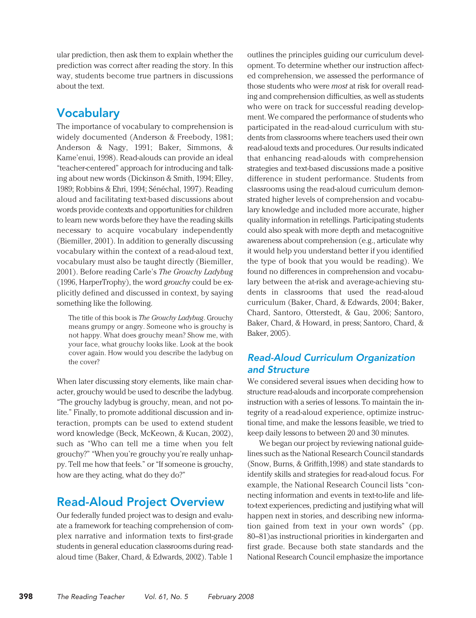ular prediction, then ask them to explain whether the prediction was correct after reading the story. In this way, students become true partners in discussions about the text.

# **Vocabulary**

The importance of vocabulary to comprehension is widely documented (Anderson & Freebody, 1981; Anderson & Nagy, 1991; Baker, Simmons, & Kame'enui, 1998). Read-alouds can provide an ideal "teacher-centered" approach for introducing and talking about new words (Dickinson & Smith, 1994; Elley, 1989; Robbins & Ehri, 1994; Sénéchal, 1997). Reading aloud and facilitating text-based discussions about words provide contexts and opportunities for children to learn new words before they have the reading skills necessary to acquire vocabulary independently (Biemiller, 2001). In addition to generally discussing vocabulary within the context of a read-aloud text, vocabulary must also be taught directly (Biemiller, 2001). Before reading Carle's *The Grouchy Ladybug* (1996, HarperTrophy), the word *grouchy* could be explicitly defined and discussed in context, by saying something like the following.

The title of this book is *The Grouchy Ladybug*. Grouchy means grumpy or angry. Someone who is grouchy is not happy. What does grouchy mean? Show me, with your face, what grouchy looks like. Look at the book cover again. How would you describe the ladybug on the cover?

When later discussing story elements, like main character, grouchy would be used to describe the ladybug. "The grouchy ladybug is grouchy, mean, and not polite." Finally, to promote additional discussion and interaction, prompts can be used to extend student word knowledge (Beck, McKeown, & Kucan, 2002), such as "Who can tell me a time when you felt grouchy?" "When you're grouchy you're really unhappy. Tell me how that feels." or "If someone is grouchy, how are they acting, what do they do?"

# Read-Aloud Project Overview

Our federally funded project was to design and evaluate a framework for teaching comprehension of complex narrative and information texts to first-grade students in general education classrooms during readaloud time (Baker, Chard, & Edwards, 2002). Table 1

outlines the principles guiding our curriculum development. To determine whether our instruction affected comprehension, we assessed the performance of those students who were *most* at risk for overall reading and comprehension difficulties, as well as students who were on track for successful reading development. We compared the performance of students who participated in the read-aloud curriculum with students from classrooms where teachers used their own read-aloud texts and procedures. Our results indicated that enhancing read-alouds with comprehension strategies and text-based discussions made a positive difference in student performance. Students from classrooms using the read-aloud curriculum demonstrated higher levels of comprehension and vocabulary knowledge and included more accurate, higher quality information in retellings. Participating students could also speak with more depth and metacognitive awareness about comprehension (e.g., articulate why it would help you understand better if you identified the type of book that you would be reading). We found no differences in comprehension and vocabulary between the at-risk and average-achieving students in classrooms that used the read-aloud curriculum (Baker, Chard, & Edwards, 2004; Baker, Chard, Santoro, Otterstedt, & Gau, 2006; Santoro, Baker, Chard, & Howard, in press; Santoro, Chard, & Baker, 2005).

### Read-Aloud Curriculum Organization and Structure

We considered several issues when deciding how to structure read-alouds and incorporate comprehension instruction with a series of lessons. To maintain the integrity of a read-aloud experience, optimize instructional time, and make the lessons feasible, we tried to keep daily lessons to between 20 and 30 minutes.

We began our project by reviewing national guidelines such as the National Research Council standards (Snow, Burns, & Griffith,1998) and state standards to identify skills and strategies for read-aloud focus. For example, the National Research Council lists "connecting information and events in text-to-life and lifeto-text experiences, predicting and justifying what will happen next in stories, and describing new information gained from text in your own words" (pp. 80–81)as instructional priorities in kindergarten and first grade. Because both state standards and the National Research Council emphasize the importance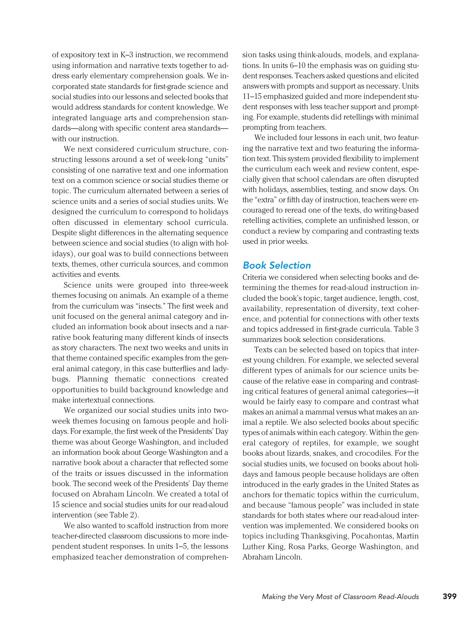of expository text in K–3 instruction, we recommend using information and narrative texts together to address early elementary comprehension goals. We incorporated state standards for first-grade science and social studies into our lessons and selected books that would address standards for content knowledge. We integrated language arts and comprehension standards—along with specific content area standards with our instruction.

We next considered curriculum structure, constructing lessons around a set of week-long "units" consisting of one narrative text and one information text on a common science or social studies theme or topic. The curriculum alternated between a series of science units and a series of social studies units. We designed the curriculum to correspond to holidays often discussed in elementary school curricula. Despite slight differences in the alternating sequence between science and social studies (to align with holidays), our goal was to build connections between texts, themes, other curricula sources, and common activities and events.

Science units were grouped into three-week themes focusing on animals. An example of a theme from the curriculum was "insects." The first week and unit focused on the general animal category and included an information book about insects and a narrative book featuring many different kinds of insects as story characters. The next two weeks and units in that theme contained specific examples from the general animal category, in this case butterflies and ladybugs. Planning thematic connections created opportunities to build background knowledge and make intertextual connections.

We organized our social studies units into twoweek themes focusing on famous people and holidays. For example, the first week of the Presidents' Day theme was about George Washington, and included an information book about George Washington and a narrative book about a character that reflected some of the traits or issues discussed in the information book. The second week of the Presidents' Day theme focused on Abraham Lincoln. We created a total of 15 science and social studies units for our read-aloud intervention (see Table 2).

We also wanted to scaffold instruction from more teacher-directed classroom discussions to more independent student responses. In units 1–5, the lessons emphasized teacher demonstration of comprehension tasks using think-alouds, models, and explanations. In units 6–10 the emphasis was on guiding student responses. Teachers asked questions and elicited answers with prompts and support as necessary. Units 11–15 emphasized guided and more independent student responses with less teacher support and prompting. For example, students did retellings with minimal prompting from teachers.

We included four lessons in each unit, two featuring the narrative text and two featuring the information text. This system provided flexibility to implement the curriculum each week and review content, especially given that school calendars are often disrupted with holidays, assemblies, testing, and snow days. On the "extra" or fifth day of instruction, teachers were encouraged to reread one of the texts, do writing-based retelling activities, complete an unfinished lesson, or conduct a review by comparing and contrasting texts used in prior weeks.

### Book Selection

Criteria we considered when selecting books and determining the themes for read-aloud instruction included the book's topic, target audience, length, cost, availability, representation of diversity, text coherence, and potential for connections with other texts and topics addressed in first-grade curricula. Table 3 summarizes book selection considerations.

Texts can be selected based on topics that interest young children. For example, we selected several different types of animals for our science units because of the relative ease in comparing and contrasting critical features of general animal categories—it would be fairly easy to compare and contrast what makes an animal a mammal versus what makes an animal a reptile. We also selected books about specific types of animals within each category. Within the general category of reptiles, for example, we sought books about lizards, snakes, and crocodiles. For the social studies units, we focused on books about holidays and famous people because holidays are often introduced in the early grades in the United States as anchors for thematic topics within the curriculum, and because "famous people" was included in state standards for both states where our read-aloud intervention was implemented. We considered books on topics including Thanksgiving, Pocahontas, Martin Luther King, Rosa Parks, George Washington, and Abraham Lincoln.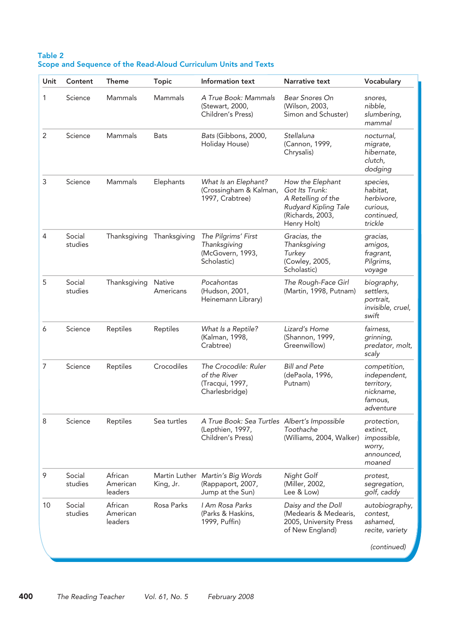| Table 2 |  |                                                                 |  |  |
|---------|--|-----------------------------------------------------------------|--|--|
|         |  | Scope and Sequence of the Read-Aloud Curriculum Units and Texts |  |  |

| Unit           | Content           | <b>Theme</b>                   | <b>Topic</b>        | Information text                                                                      | Narrative text                                                                                                      | Vocabulary                                                                      |
|----------------|-------------------|--------------------------------|---------------------|---------------------------------------------------------------------------------------|---------------------------------------------------------------------------------------------------------------------|---------------------------------------------------------------------------------|
| 1              | Science           | Mammals                        | Mammals             | A True Book: Mammals<br>(Stewart, 2000,<br>Children's Press)                          | Bear Snores On<br>(Wilson, 2003,<br>Simon and Schuster)                                                             | snores,<br>nibble,<br>slumbering,<br>mammal                                     |
| $\overline{2}$ | Science           | Mammals                        | <b>Bats</b>         | Bats (Gibbons, 2000,<br>Holiday House)                                                | Stellaluna<br>(Cannon, 1999,<br>Chrysalis)                                                                          | nocturnal,<br>migrate,<br>hibernate,<br>clutch,<br>dodging                      |
| 3              | Science           | Mammals                        | Elephants           | What Is an Elephant?<br>(Crossingham & Kalman,<br>1997, Crabtree)                     | How the Elephant<br>Got Its Trunk:<br>A Retelling of the<br>Rudyard Kipling Tale<br>(Richards, 2003,<br>Henry Holt) | species,<br>habitat,<br>herbivore,<br>curious,<br>continued,<br>trickle         |
| 4              | Social<br>studies | Thanksgiving                   | Thanksgiving        | The Pilgrims' First<br>Thanksgiving<br>(McGovern, 1993,<br>Scholastic)                | Gracias, the<br>Thanksgiving<br>Turkey<br>(Cowley, 2005,<br>Scholastic)                                             | gracias,<br>amigos,<br>fragrant,<br>Pilgrims,<br>voyage                         |
| 5              | Social<br>studies | Thanksgiving                   | Native<br>Americans | Pocahontas<br>(Hudson, 2001,<br>Heinemann Library)                                    | The Rough-Face Girl<br>(Martin, 1998, Putnam)                                                                       | biography,<br>settlers,<br>portrait,<br>invisible, cruel,<br>swift              |
| 6              | Science           | Reptiles                       | Reptiles            | What Is a Reptile?<br>(Kalman, 1998,<br>Crabtree)                                     | Lizard's Home<br>(Shannon, 1999,<br>Greenwillow)                                                                    | fairness,<br>grinning,<br>predator, molt,<br>scaly                              |
| 7              | Science           | Reptiles                       | Crocodiles          | The Crocodile: Ruler<br>of the River<br>(Tracqui, 1997,<br>Charlesbridge)             | <b>Bill and Pete</b><br>(dePaola, 1996,<br>Putnam)                                                                  | competition,<br>independent,<br>territory,<br>nickname,<br>famous,<br>adventure |
| 8              | Science           | Reptiles                       | Sea turtles         | A True Book: Sea Turtles Albert's Impossible<br>(Lepthien, 1997,<br>Children's Press) | Toothache<br>(Williams, 2004, Walker)                                                                               | protection,<br>extinct,<br><i>impossible,</i><br>worry,<br>announced,<br>moaned |
| 9              | Social<br>studies | African<br>American<br>leaders | King, Jr.           | Martin Luther Martin's Big Words<br>(Rappaport, 2007,<br>Jump at the Sun)             | Night Golf<br>(Miller, 2002,<br>Lee & Low)                                                                          | protest,<br>segregation,<br>golf, caddy                                         |
| 10             | Social<br>studies | African<br>American<br>leaders | Rosa Parks          | I Am Rosa Parks<br>(Parks & Haskins,<br>1999, Puffin)                                 | Daisy and the Doll<br>(Medearis & Medearis,<br>2005, University Press<br>of New England)                            | autobiography,<br>contest,<br>ashamed,<br>recite, variety                       |
|                |                   |                                |                     |                                                                                       |                                                                                                                     | (continued)                                                                     |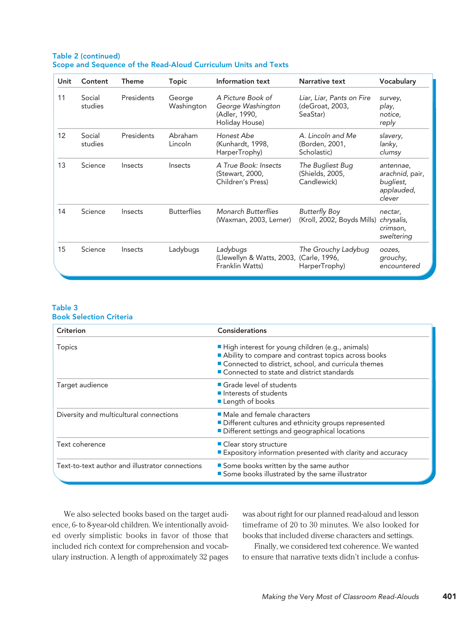| Unit | Content           | Theme      | <b>Topic</b>         | Information text                                                          | <b>Narrative text</b>                                    | Vocabulary                                                        |
|------|-------------------|------------|----------------------|---------------------------------------------------------------------------|----------------------------------------------------------|-------------------------------------------------------------------|
| 11   | Social<br>studies | Presidents | George<br>Washington | A Picture Book of<br>George Washington<br>(Adler, 1990,<br>Holiday House) | Liar, Liar, Pants on Fire<br>(deGroat, 2003,<br>SeaStar) | survey,<br>play,<br>notice,<br>reply                              |
| 12   | Social<br>studies | Presidents | Abraham<br>Lincoln   | Honest Abe<br>(Kunhardt, 1998,<br>HarperTrophy)                           | A. Lincoln and Me<br>(Borden, 2001,<br>Scholastic)       | slavery,<br>lanky,<br>clumsy                                      |
| 13   | Science           | Insects    | Insects              | A True Book: Insects<br>(Stewart, 2000,<br>Children's Press)              | The Bugliest Bug<br>(Shields, 2005,<br>Candlewick)       | antennae,<br>arachnid, pair,<br>bugliest,<br>applauded,<br>clever |
| 14   | Science           | Insects    | <b>Butterflies</b>   | <b>Monarch Butterflies</b><br>(Waxman, 2003, Lerner)                      | <b>Butterfly Boy</b><br>(Kroll, 2002, Boyds Mills)       | nectar,<br>chrysalis,<br>crimson,<br>sweltering                   |
| 15   | Science           | Insects    | Ladybugs             | Ladybugs<br>(Llewellyn & Watts, 2003, (Carle, 1996,<br>Franklin Watts)    | The Grouchy Ladybug<br>HarperTrophy)                     | oozes,<br>grouchy,<br>encountered                                 |

### Table 2 (continued) Scope and Sequence of the Read-Aloud Curriculum Units and Texts

#### Table 3 Book Selection Criteria

| Criterion                                       | <b>Considerations</b>                                                                                                                                                                                           |
|-------------------------------------------------|-----------------------------------------------------------------------------------------------------------------------------------------------------------------------------------------------------------------|
| <b>Topics</b>                                   | High interest for young children (e.g., animals)<br>Ability to compare and contrast topics across books<br>■ Connected to district, school, and curricula themes<br>■ Connected to state and district standards |
| Target audience                                 | Grade level of students<br>Interests of students<br>Length of books                                                                                                                                             |
| Diversity and multicultural connections         | • Male and female characters<br>Different cultures and ethnicity groups represented<br>Different settings and geographical locations                                                                            |
| Text coherence                                  | ■ Clear story structure<br>Expository information presented with clarity and accuracy                                                                                                                           |
| Text-to-text author and illustrator connections | Some books written by the same author<br>Some books illustrated by the same illustrator                                                                                                                         |

We also selected books based on the target audience, 6- to 8-year-old children. We intentionally avoided overly simplistic books in favor of those that included rich context for comprehension and vocabulary instruction. A length of approximately 32 pages was about right for our planned read-aloud and lesson timeframe of 20 to 30 minutes. We also looked for books that included diverse characters and settings.

Finally, we considered text coherence. We wanted to ensure that narrative texts didn't include a confus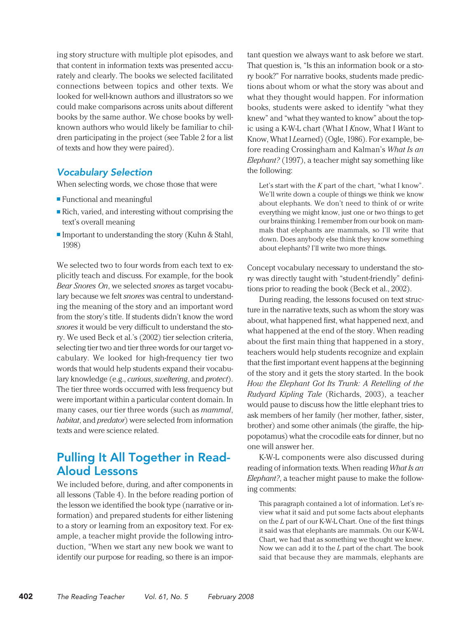ing story structure with multiple plot episodes, and that content in information texts was presented accurately and clearly. The books we selected facilitated connections between topics and other texts. We looked for well-known authors and illustrators so we could make comparisons across units about different books by the same author. We chose books by wellknown authors who would likely be familiar to children participating in the project (see Table 2 for a list of texts and how they were paired).

### Vocabulary Selection

When selecting words, we chose those that were

- Functional and meaningful
- Rich, varied, and interesting without comprising the text's overall meaning
- Important to understanding the story (Kuhn & Stahl, 1998)

We selected two to four words from each text to explicitly teach and discuss. For example, for the book *Bear Snores On*, we selected *snores* as target vocabulary because we felt *snores* was central to understanding the meaning of the story and an important word from the story's title. If students didn't know the word *snores* it would be very difficult to understand the story. We used Beck et al.'s (2002) tier selection criteria, selecting tier two and tier three words for our target vocabulary. We looked for high-frequency tier two words that would help students expand their vocabulary knowledge (e.g., *curious*, *sweltering*, and *protect*). The tier three words occurred with less frequency but were important within a particular content domain. In many cases, our tier three words (such as *mammal*, *habitat*, and *predator*) were selected from information texts and were science related.

## Pulling It All Together in Read-Aloud Lessons

We included before, during, and after components in all lessons (Table 4). In the before reading portion of the lesson we identified the book type (narrative or information) and prepared students for either listening to a story or learning from an expository text. For example, a teacher might provide the following introduction, "When we start any new book we want to identify our purpose for reading, so there is an important question we always want to ask before we start. That question is, "Is this an information book or a story book?" For narrative books, students made predictions about whom or what the story was about and what they thought would happen. For information books, students were asked to identify "what they knew" and "what they wanted to know" about the topic using a K-W-L chart (What I *K*now, What I *W*ant to Know, What I *L*earned) (Ogle, 1986). For example, before reading Crossingham and Kalman's *What Is an Elephant?* (1997), a teacher might say something like the following:

Let's start with the *K* part of the chart, "what I know". We'll write down a couple of things we think we know about elephants. We don't need to think of or write everything we might know, just one or two things to get our brains thinking. I remember from our book on mammals that elephants are mammals, so I'll write that down. Does anybody else think they know something about elephants? I'll write two more things.

Concept vocabulary necessary to understand the story was directly taught with "student-friendly" definitions prior to reading the book (Beck et al., 2002).

During reading, the lessons focused on text structure in the narrative texts, such as whom the story was about, what happened first, what happened next, and what happened at the end of the story. When reading about the first main thing that happened in a story, teachers would help students recognize and explain that the first important event happens at the beginning of the story and it gets the story started. In the book *How the Elephant Got Its Trunk: A Retelling of the Rudyard Kipling Tale* (Richards, 2003), a teacher would pause to discuss how the little elephant tries to ask members of her family (her mother, father, sister, brother) and some other animals (the giraffe, the hippopotamus) what the crocodile eats for dinner, but no one will answer her.

K-W-L components were also discussed during reading of information texts. When reading *What Is an Elephant?*, a teacher might pause to make the following comments:

This paragraph contained a lot of information. Let's review what it said and put some facts about elephants on the *L* part of our K-W-L Chart. One of the first things it said was that elephants are mammals. On our K-W-L Chart, we had that as something we thought we knew. Now we can add it to the *L* part of the chart. The book said that because they are mammals, elephants are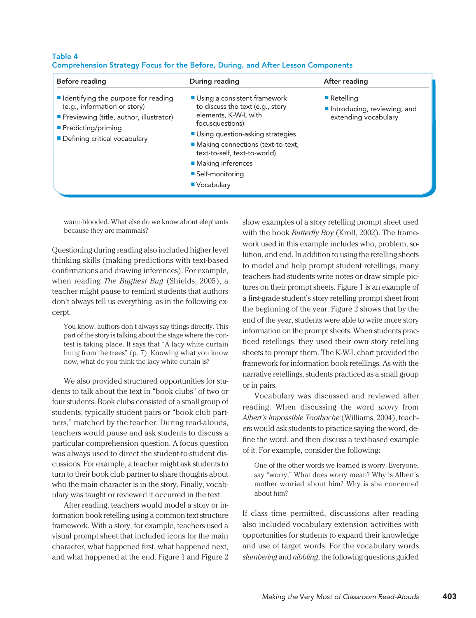| Table 4                                                                          |  |  |  |  |
|----------------------------------------------------------------------------------|--|--|--|--|
| Comprehension Strategy Focus for the Before, During, and After Lesson Components |  |  |  |  |

| Before reading                                                                                                                                                           | During reading                                                                                                                                                                                                                                                                   | After reading                                                                   |
|--------------------------------------------------------------------------------------------------------------------------------------------------------------------------|----------------------------------------------------------------------------------------------------------------------------------------------------------------------------------------------------------------------------------------------------------------------------------|---------------------------------------------------------------------------------|
| I Identifying the purpose for reading<br>(e.g., information or story)<br>Previewing (title, author, illustrator)<br>■ Predicting/priming<br>Defining critical vocabulary | ■ Using a consistent framework<br>to discuss the text (e.g., story<br>elements, K-W-L with<br>focusquestions)<br>Using question-asking strategies<br>Making connections (text-to-text,<br>text-to-self, text-to-world)<br>Making inferences<br>■ Self-monitoring<br>■ Vocabulary | $\blacksquare$ Retelling<br>Introducing, reviewing, and<br>extending vocabulary |

warm-blooded. What else do we know about elephants because they are mammals?

Questioning during reading also included higher level thinking skills (making predictions with text-based confirmations and drawing inferences). For example, when reading *The Bugliest Bug* (Shields, 2005), a teacher might pause to remind students that authors don't always tell us everything, as in the following excerpt.

You know, authors don't always say things directly. This part of the story is talking about the stage where the contest is taking place. It says that "A lacy white curtain hung from the trees" (p. 7). Knowing what you know now, what do you think the lacy white curtain is?

We also provided structured opportunities for students to talk about the text in "book clubs" of two or four students. Book clubs consisted of a small group of students, typically student pairs or "book club partners," matched by the teacher. During read-alouds, teachers would pause and ask students to discuss a particular comprehension question. A focus question was always used to direct the student-to-student discussions. For example, a teacher might ask students to turn to their book club partner to share thoughts about who the main character is in the story. Finally, vocabulary was taught or reviewed it occurred in the text.

After reading, teachers would model a story or information book retelling using a common text structure framework. With a story, for example, teachers used a visual prompt sheet that included icons for the main character, what happened first, what happened next, and what happened at the end. Figure 1 and Figure 2

show examples of a story retelling prompt sheet used with the book *Butterfly Boy* (Kroll, 2002). The framework used in this example includes who, problem, solution, and end. In addition to using the retelling sheets to model and help prompt student retellings, many teachers had students write notes or draw simple pictures on their prompt sheets. Figure 1 is an example of a first-grade student's story retelling prompt sheet from the beginning of the year. Figure 2 shows that by the end of the year, students were able to write more story information on the prompt sheets. When students practiced retellings, they used their own story retelling sheets to prompt them. The K-W-L chart provided the framework for information book retellings. As with the narrative retellings, students practiced as a small group or in pairs.

Vocabulary was discussed and reviewed after reading. When discussing the word *worry* from *Albert's Impossible Toothache* (Williams, 2004), teachers would ask students to practice saying the word, define the word, and then discuss a text-based example of it. For example, consider the following:

One of the other words we learned is worry. Everyone, say "worry." What does worry mean? Why is Albert's mother worried about him? Why is she concerned about him?

If class time permitted, discussions after reading also included vocabulary extension activities with opportunities for students to expand their knowledge and use of target words. For the vocabulary words *slumbering* and *nibbling*, the following questions guided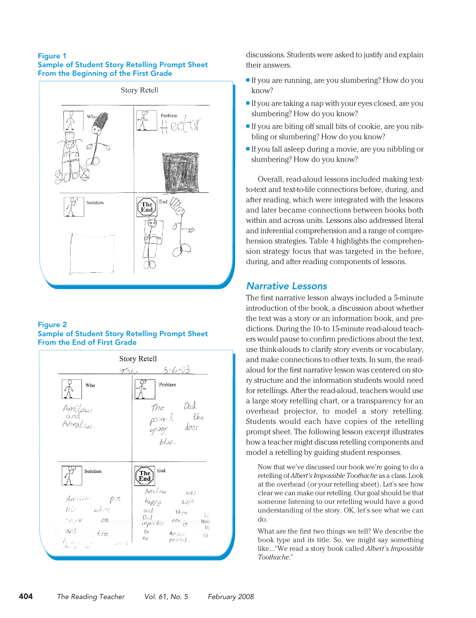#### Figure 1 Sample of Student Story Retelling Prompt Sheet From the Beginning of the First Grade



#### Figure 2 Sample of Student Story Retelling Prompt Sheet From the End of First Grade



discussions. Students were asked to justify and explain their answers.

- If you are running, are you slumbering? How do you know?
- If you are taking a nap with your eyes closed, are you slumbering? How do you know?
- If you are biting off small bits of cookie, are you nibbling or slumbering? How do you know?
- If you fall asleep during a movie, are you nibbling or slumbering? How do you know?

Overall, read-aloud lessons included making textto-text and text-to-life connections before, during, and after reading, which were integrated with the lessons and later became connections between books both within and across units. Lessons also addressed literal and inferential comprehension and a range of comprehension strategies. Table 4 highlights the comprehension strategy focus that was targeted in the before, during, and after reading components of lessons.

### Narrative Lessons

The first narrative lesson always included a 5-minute introduction of the book, a discussion about whether the text was a story or an information book, and predictions. During the 10- to 15-minute read-aloud teachers would pause to confirm predictions about the text, use think-alouds to clarify story events or vocabulary, and make connections to other texts. In sum, the readaloud for the first narrative lesson was centered on story structure and the information students would need for retellings. After the read-aloud, teachers would use a large story retelling chart, or a transparency for an overhead projector, to model a story retelling. Students would each have copies of the retelling prompt sheet. The following lesson excerpt illustrates how a teacher might discuss retelling components and model a retelling by guiding student responses.

Now that we've discussed our book we're going to do a retelling of *Albert's Impossible Toothache* as a class. Look at the overhead (or your retelling sheet). Let's see how clear we can make our retelling. Our goal should be that someone listening to our retelling would have a good understanding of the story. OK, let's see what we can do.

What are the first two things we tell? We describe the book type and its title. So, we might say something like..."We read a story book called *Albert's Impossible Toothache*."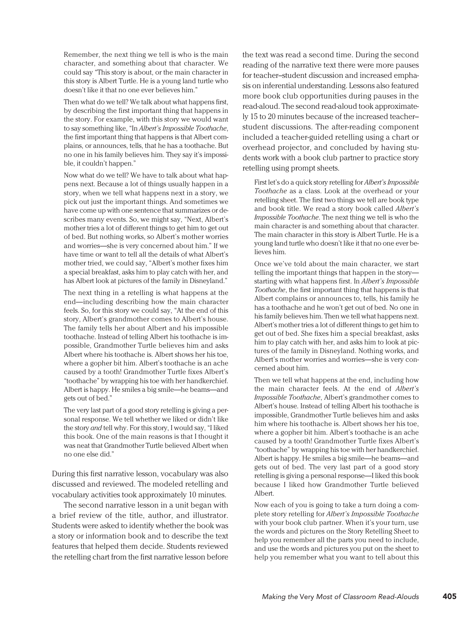Remember, the next thing we tell is who is the main character, and something about that character. We could say "This story is about, or the main character in this story is Albert Turtle. He is a young land turtle who doesn't like it that no one ever believes him."

Then what do we tell? We talk about what happens first, by describing the first important thing that happens in the story. For example, with this story we would want to say something like, "In *Albert's Impossible Toothache*, the first important thing that happens is that Albert complains, or announces, tells, that he has a toothache. But no one in his family believes him. They say it's impossible, it couldn't happen."

Now what do we tell? We have to talk about what happens next. Because a lot of things usually happen in a story, when we tell what happens next in a story, we pick out just the important things. And sometimes we have come up with one sentence that summarizes or describes many events. So, we might say, "Next, Albert's mother tries a lot of different things to get him to get out of bed. But nothing works, so Albert's mother worries and worries—she is very concerned about him." If we have time or want to tell all the details of what Albert's mother tried, we could say, "Albert's mother fixes him a special breakfast, asks him to play catch with her, and has Albert look at pictures of the family in Disneyland."

The next thing in a retelling is what happens at the end—including describing how the main character feels. So, for this story we could say, "At the end of this story, Albert's grandmother comes to Albert's house. The family tells her about Albert and his impossible toothache. Instead of telling Albert his toothache is impossible, Grandmother Turtle believes him and asks Albert where his toothache is. Albert shows her his toe, where a gopher bit him. Albert's toothache is an ache caused by a tooth! Grandmother Turtle fixes Albert's "toothache" by wrapping his toe with her handkerchief. Albert is happy. He smiles a big smile—he beams—and gets out of bed."

The very last part of a good story retelling is giving a personal response. We tell whether we liked or didn't like the story *and* tell why. For this story, I would say, "I liked this book. One of the main reasons is that I thought it was neat that Grandmother Turtle believed Albert when no one else did."

During this first narrative lesson, vocabulary was also discussed and reviewed. The modeled retelling and vocabulary activities took approximately 10 minutes.

The second narrative lesson in a unit began with a brief review of the title, author, and illustrator. Students were asked to identify whether the book was a story or information book and to describe the text features that helped them decide. Students reviewed the retelling chart from the first narrative lesson before the text was read a second time. During the second reading of the narrative text there were more pauses for teacher–student discussion and increased emphasis on inferential understanding. Lessons also featured more book club opportunities during pauses in the read-aloud. The second read-aloud took approximately 15 to 20 minutes because of the increased teacher– student discussions. The after-reading component included a teacher-guided retelling using a chart or overhead projector, and concluded by having students work with a book club partner to practice story retelling using prompt sheets.

First let's do a quick story retelling for *Albert's Impossible Toothache* as a class. Look at the overhead or your retelling sheet. The first two things we tell are book type and book title. We read a story book called *Albert's Impossible Toothache*. The next thing we tell is who the main character is and something about that character. The main character in this story is Albert Turtle. He is a young land turtle who doesn't like it that no one ever believes him.

Once we've told about the main character, we start telling the important things that happen in the story starting with what happens first. In *Albert's Impossible Toothache*, the first important thing that happens is that Albert complains or announces to, tells, his family he has a toothache and he won't get out of bed. No one in his family believes him. Then we tell what happens next. Albert's mother tries a lot of different things to get him to get out of bed. She fixes him a special breakfast, asks him to play catch with her, and asks him to look at pictures of the family in Disneyland. Nothing works, and Albert's mother worries and worries—she is very concerned about him.

Then we tell what happens at the end, including how the main character feels. At the end of *Albert's Impossible Toothache*, Albert's grandmother comes to Albert's house. Instead of telling Albert his toothache is impossible, Grandmother Turtle believes him and asks him where his toothache is. Albert shows her his toe, where a gopher bit him. Albert's toothache is an ache caused by a tooth! Grandmother Turtle fixes Albert's "toothache" by wrapping his toe with her handkerchief. Albert is happy. He smiles a big smile—he beams—and gets out of bed. The very last part of a good story retelling is giving a personal response—I liked this book because I liked how Grandmother Turtle believed Albert.

Now each of you is going to take a turn doing a complete story retelling for *Albert's Impossible Toothache* with your book club partner. When it's your turn, use the words and pictures on the Story Retelling Sheet to help you remember all the parts you need to include, and use the words and pictures you put on the sheet to help you remember what you want to tell about this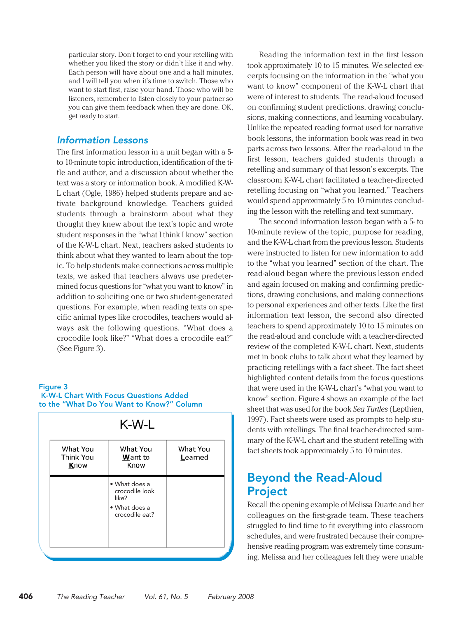particular story. Don't forget to end your retelling with whether you liked the story or didn't like it and why. Each person will have about one and a half minutes, and I will tell you when it's time to switch. Those who want to start first, raise your hand. Those who will be listeners, remember to listen closely to your partner so you can give them feedback when they are done. OK, get ready to start.

### Information Lessons

The first information lesson in a unit began with a 5 to 10-minute topic introduction, identification of the title and author, and a discussion about whether the text was a story or information book. A modified K-W-L chart (Ogle, 1986) helped students prepare and activate background knowledge. Teachers guided students through a brainstorm about what they thought they knew about the text's topic and wrote student responses in the "what I think I know" section of the K-W-L chart. Next, teachers asked students to think about what they wanted to learn about the topic. To help students make connections across multiple texts, we asked that teachers always use predetermined focus questions for "what you want to know" in addition to soliciting one or two student-generated questions. For example, when reading texts on specific animal types like crocodiles, teachers would always ask the following questions. "What does a crocodile look like?" "What does a crocodile eat?" (See Figure 3).

#### Figure 3

K-W-L Chart With Focus Questions Added to the "What Do You Want to Know?" Column

| What You<br>Think You<br><b>K</b> now | What You<br><b>W</b> ant to<br>Know                                         | What You<br>Learned |
|---------------------------------------|-----------------------------------------------------------------------------|---------------------|
|                                       | • What does a<br>crocodile look<br>like?<br>• What does a<br>crocodile eat? |                     |

Reading the information text in the first lesson took approximately 10 to 15 minutes. We selected excerpts focusing on the information in the "what you want to know" component of the K-W-L chart that were of interest to students. The read-aloud focused on confirming student predictions, drawing conclusions, making connections, and learning vocabulary. Unlike the repeated reading format used for narrative book lessons, the information book was read in two parts across two lessons. After the read-aloud in the first lesson, teachers guided students through a retelling and summary of that lesson's excerpts. The classroom K-W-L chart facilitated a teacher-directed retelling focusing on "what you learned." Teachers would spend approximately 5 to 10 minutes concluding the lesson with the retelling and text summary.

The second information lesson began with a 5- to 10-minute review of the topic, purpose for reading, and the K-W-L chart from the previous lesson. Students were instructed to listen for new information to add to the "what you learned" section of the chart. The read-aloud began where the previous lesson ended and again focused on making and confirming predictions, drawing conclusions, and making connections to personal experiences and other texts. Like the first information text lesson, the second also directed teachers to spend approximately 10 to 15 minutes on the read-aloud and conclude with a teacher-directed review of the completed K-W-L chart. Next, students met in book clubs to talk about what they learned by practicing retellings with a fact sheet. The fact sheet highlighted content details from the focus questions that were used in the K-W-L chart's "what you want to know" section. Figure 4 shows an example of the fact sheet that was used for the book *Sea Turtles* (Lepthien, 1997). Fact sheets were used as prompts to help students with retellings. The final teacher-directed summary of the K-W-L chart and the student retelling with fact sheets took approximately 5 to 10 minutes.

### Beyond the Read-Aloud Project

Recall the opening example of Melissa Duarte and her colleagues on the first-grade team. These teachers struggled to find time to fit everything into classroom schedules, and were frustrated because their comprehensive reading program was extremely time consuming. Melissa and her colleagues felt they were unable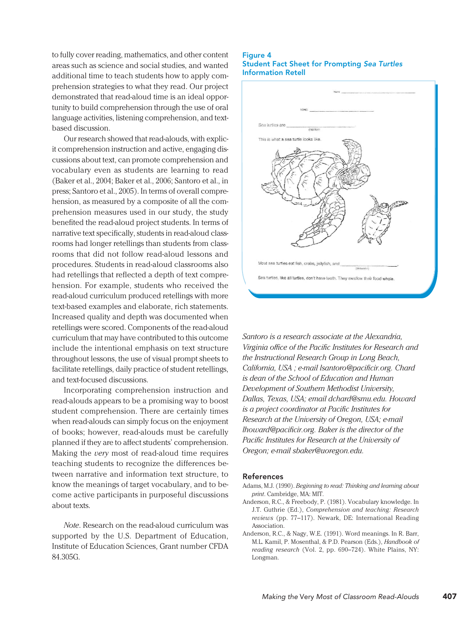to fully cover reading, mathematics, and other content areas such as science and social studies, and wanted additional time to teach students how to apply comprehension strategies to what they read. Our project demonstrated that read-aloud time is an ideal opportunity to build comprehension through the use of oral language activities, listening comprehension, and textbased discussion.

Our research showed that read-alouds, with explicit comprehension instruction and active, engaging discussions about text, can promote comprehension and vocabulary even as students are learning to read (Baker et al., 2004; Baker et al., 2006; Santoro et al., in press; Santoro et al., 2005). In terms of overall comprehension, as measured by a composite of all the comprehension measures used in our study, the study benefited the read-aloud project students. In terms of narrative text specifically, students in read-aloud classrooms had longer retellings than students from classrooms that did not follow read-aloud lessons and procedures. Students in read-aloud classrooms also had retellings that reflected a depth of text comprehension. For example, students who received the read-aloud curriculum produced retellings with more text-based examples and elaborate, rich statements. Increased quality and depth was documented when retellings were scored. Components of the read-aloud curriculum that may have contributed to this outcome include the intentional emphasis on text structure throughout lessons, the use of visual prompt sheets to facilitate retellings, daily practice of student retellings, and text-focused discussions.

Incorporating comprehension instruction and read-alouds appears to be a promising way to boost student comprehension. There are certainly times when read-alouds can simply focus on the enjoyment of books; however, read-alouds must be carefully planned if they are to affect students' comprehension. Making the *very* most of read-aloud time requires teaching students to recognize the differences between narrative and information text structure, to know the meanings of target vocabulary, and to become active participants in purposeful discussions about texts.

*Note*. Research on the read-aloud curriculum was supported by the U.S. Department of Education, Institute of Education Sciences, Grant number CFDA 84.305G.

#### Figure 4 Student Fact Sheet for Prompting Sea Turtles Information Retell



*Santoro is a research associate at the Alexandria, Virginia office of the Pacific Institutes for Research and the Instructional Research Group in Long Beach, California, USA ; e-mail lsantoro@pacificir.org. Chard is dean of the School of Education and Human Development of Southern Methodist University, Dallas, Texas, USA; email dchard@smu.edu. Howard is a project coordinator at Pacific Institutes for Research at the University of Oregon, USA; e-mail lhoward@pacificir.org. Baker is the director of the Pacific Institutes for Research at the University of Oregon; e-mail sbaker@uoregon.edu.* 

#### References

- Adams, M.J. (1990). *Beginning to read: Thinking and learning about print*. Cambridge, MA: MIT.
- Anderson, R.C., & Freebody, P. (1981). Vocabulary knowledge. In J.T. Guthrie (Ed.), *Comprehension and teaching: Research reviews* (pp. 77–117). Newark, DE: International Reading Association.
- Anderson, R.C., & Nagy, W.E. (1991). Word meanings. In R. Barr, M.L. Kamil, P. Mosenthal, & P.D. Pearson (Eds.), *Handbook of reading research* (Vol. 2, pp. 690–724). White Plains, NY: Longman.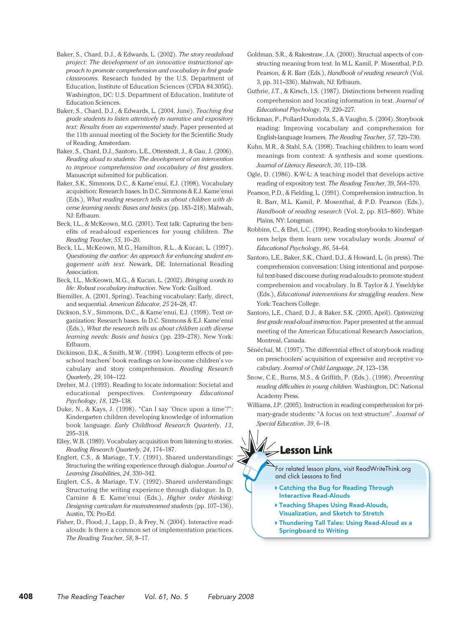- Baker, S., Chard, D.J., & Edwards, L. (2002). *The story readaloud project: The development of an innovative instructional approach to promote comprehension and vocabulary in first grade classrooms*. Research funded by the U.S. Department of Education, Institute of Education Sciences (CFDA 84.305G). Washington, DC: U.S. Department of Education, Institute of Education Sciences.
- Baker, S., Chard, D.J., & Edwards, L. (2004, June). *Teaching first grade students to listen attentively to narrative and expository text: Results from an experimental study*. Paper presented at the 11th annual meeting of the Society for the Scientific Study of Reading, Amsterdam.
- Baker, S., Chard, D.J., Santoro, L.E., Otterstedt, J., & Gau, J. (2006). *Reading aloud to students: The development of an intervention to improve comprehension and vocabulary of first graders*. Manuscript submitted for publication.
- Baker, S.K., Simmons, D.C., & Kame'enui, E.J. (1998). Vocabulary acquisition: Research bases. In D.C. Simmons & E.J. Kame'enui (Eds.), *What reading research tells us about children with diverse learning needs: Bases and basics* (pp. 183–218). Mahwah, NJ: Erlbaum.
- Beck, I.L., & McKeown, M.G. (2001). Text talk: Capturing the benefits of read-aloud experiences for young children. *The Reading Teacher*, *55*, 10–20.
- Beck, I.L., McKeown, M.G., Hamilton, R.L., & Kucan, L. (1997). *Questioning the author: An approach for enhancing student engagement with text*. Newark, DE: International Reading Association.
- Beck, I.L., McKeown, M.G., & Kucan, L. (2002). *Bringing words to life: Robust vocabulary instruction*. New York: Guilford.
- Biemiller, A. (2001, Spring). Teaching vocabulary: Early, direct, and sequential. *American Educator*, *25* 24–28, 47.
- Dickson, S.V., Simmons, D.C., & Kame'enui, E.J. (1998). Text organization: Research bases. In D.C. Simmons & E.J. Kame'enui (Eds.), *What the research tells us about children with diverse learning needs: Basis and basics* (pp. 239–278). New York: Erlbaum.
- Dickinson, D.K., & Smith, M.W. (1994). Long-term effects of preschool teachers' book readings on low-income children's vocabulary and story comprehension. *Reading Research Quarterly*, *29*, 104–122.
- Dreher, M.J. (1993). Reading to locate information: Societal and educational perspectives. *Contemporary Educational Psychology*, *18*, 129–138.
- Duke, N., & Kays, J. (1998). "Can I say 'Once upon a time'?": Kindergarten children developing knowledge of information book language. *Early Childhood Research Quarterly*, *13*, 295–318.
- Elley, W.B. (1989). Vocabulary acquisition from listening to stories. *Reading Research Quarterly*, *24*, 174–187.
- Englert, C.S., & Mariage, T.V. (1991). Shared understandings: Structuring the writing experience through dialogue. *Journal of Learning Disabilities*, *24*, 330–342.
- Englert, C.S., & Mariage, T.V. (1992). Shared understandings: Structuring the writing experience through dialogue. In D. Carnine & E. Kame'enui (Eds.), *Higher order thinking: Designing curriculum for mainstreamed students* (pp. 107–136). Austin, TX: Pro-Ed.
- Fisher, D., Flood, J., Lapp, D., & Frey, N. (2004). Interactive readalouds: Is there a common set of implementation practices. *The Reading Teacher*, *58*, 8–17.
- Goldman, S.R., & Rakestraw, J.A. (2000). Structual aspects of constructing meaning from text. In M.L. Kamil, P. Mosenthal, P.D. Pearson, & R. Barr (Eds.), *Handbook of reading research* (Vol. 3, pp. 311–336). Mahwah, NJ: Erlbaum.
- Guthrie, J.T., & Kirsch, I.S. (1987). Distinctions between reading comprehension and locating information in text. *Journal of Educational Psychology*, *79*, 220–227.
- Hickman, P., Pollard-Durodola, S., & Vaughn, S. (2004). Storybook reading: Improving vocabulary and comprehension for English-language learners. *The Reading Teacher*, *57*, 720–730.
- Kuhn, M.R., & Stahl, S.A. (1998). Teaching children to learn word meanings from context: A synthesis and some questions. *Journal of Literacy Research*, *30*, 119–138.
- Ogle, D. (1986). K-W-L: A teaching model that develops active reading of expository text. *The Reading Teacher*, 39, 564–570.
- Pearson, P.D., & Fielding, L. (1991). Comprehension instruction. In R. Barr, M.L. Kamil, P. Mosenthal, & P.D. Pearson (Eds.), *Handbook of reading research* (Vol. 2, pp. 815–860). White Plains, NY: Longman.
- Robbins, C., & Ehri, L.C. (1994). Reading storybooks to kindergartners helps them learn new vocabulary words. *Journal of Educational Psychology*, *86*, 54–64.
- Santoro, L.E., Baker, S.K., Chard, D.J., & Howard, L. (in press). The comprehension conversation: Using intentional and purposeful text-based discourse during read-alouds to promote student comprehension and vocabulary. In B. Taylor & J. Ysseldyke (Eds.), *Educational interventions for struggling readers*. New York: Teachers College.
- Santoro, L.E., Chard, D.J., & Baker, S.K. (2005, April). *Optimizing first grade read-aloud instruction*. Paper presented at the annual meeting of the American Educational Research Association, Montreal, Canada.
- Sénéchal, M. (1997). The differential effect of storybook reading on preschoolers' acquisition of expressive and receptive vocabulary. *Journal of Child Language*, *24*, 123–138.
- Snow, C.E., Burns, M.S., & Griffith, P. (Eds.). (1998). *Preventing reading difficulties in young children*. Washington, DC: National Academy Press.
- Williams, J.P. (2005). Instruction in reading comprehension for primary-grade students: "A focus on text structure". *Journal of Special Education*, *39*, 6–18.

# -Lesson Link

For related lesson plans, visit ReadWriteThink.org and click Lessons to find

- -Catching the Bug for Reading Through Interactive Read-Alouds
- -Teaching Shapes Using Read-Alouds, Visualization, and Sketch to Stretch
- -Thundering Tall Tales: Using Read-Aloud as a Springboard to Writing